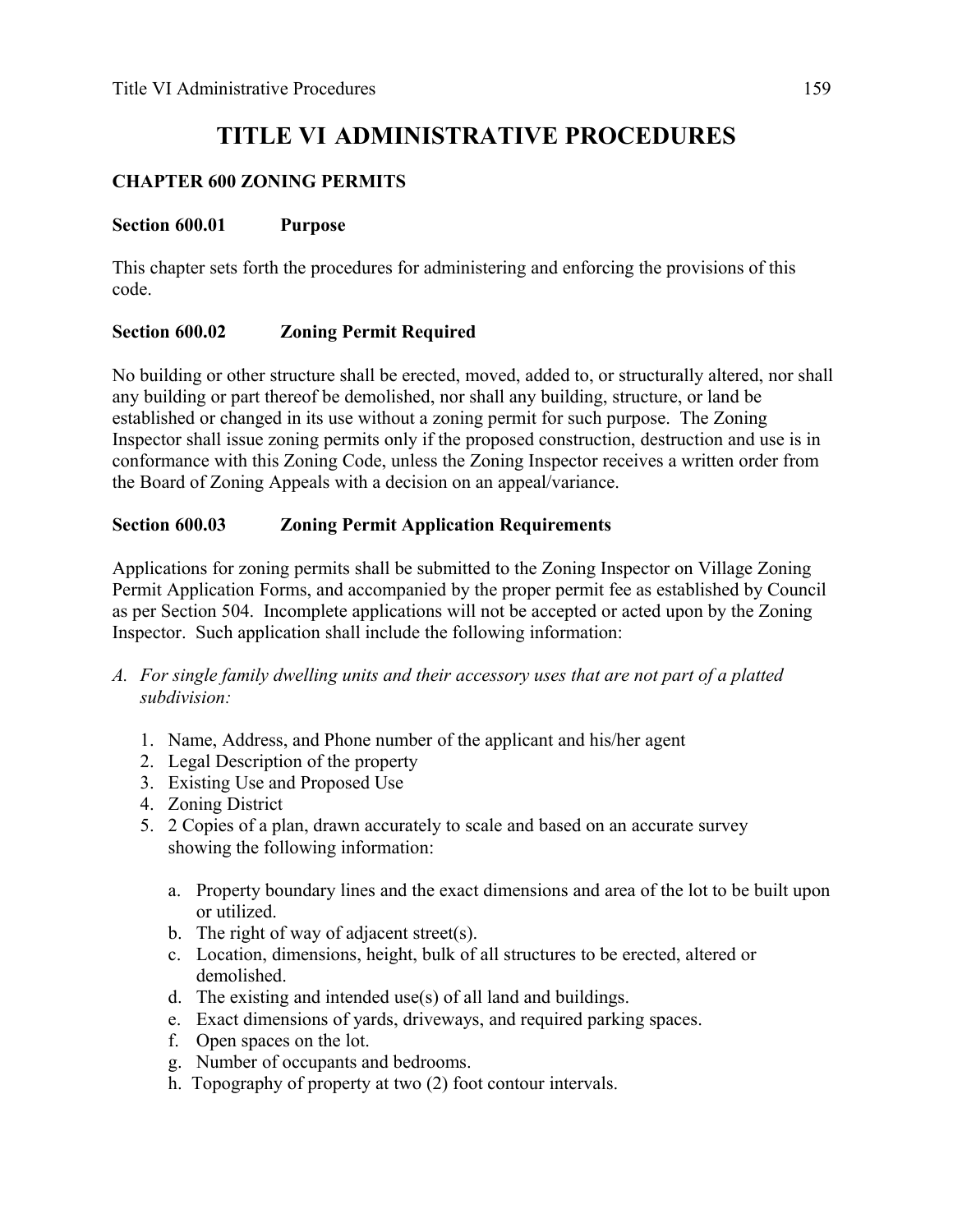# **TITLE VI ADMINISTRATIVE PROCEDURES**

# **CHAPTER 600 ZONING PERMITS**

#### **Section 600.01 Purpose**

This chapter sets forth the procedures for administering and enforcing the provisions of this code.

# **Section 600.02 Zoning Permit Required**

No building or other structure shall be erected, moved, added to, or structurally altered, nor shall any building or part thereof be demolished, nor shall any building, structure, or land be established or changed in its use without a zoning permit for such purpose. The Zoning Inspector shall issue zoning permits only if the proposed construction, destruction and use is in conformance with this Zoning Code, unless the Zoning Inspector receives a written order from the Board of Zoning Appeals with a decision on an appeal/variance.

### **Section 600.03 Zoning Permit Application Requirements**

Applications for zoning permits shall be submitted to the Zoning Inspector on Village Zoning Permit Application Forms, and accompanied by the proper permit fee as established by Council as per Section 504. Incomplete applications will not be accepted or acted upon by the Zoning Inspector. Such application shall include the following information:

- *A. For single family dwelling units and their accessory uses that are not part of a platted subdivision:*
	- 1. Name, Address, and Phone number of the applicant and his/her agent
	- 2. Legal Description of the property
	- 3. Existing Use and Proposed Use
	- 4. Zoning District
	- 5. 2 Copies of a plan, drawn accurately to scale and based on an accurate survey showing the following information:
		- a. Property boundary lines and the exact dimensions and area of the lot to be built upon or utilized.
		- b. The right of way of adjacent street(s).
		- c. Location, dimensions, height, bulk of all structures to be erected, altered or demolished.
		- d. The existing and intended use(s) of all land and buildings.
		- e. Exact dimensions of yards, driveways, and required parking spaces.
		- f. Open spaces on the lot.
		- g. Number of occupants and bedrooms.
		- h. Topography of property at two (2) foot contour intervals.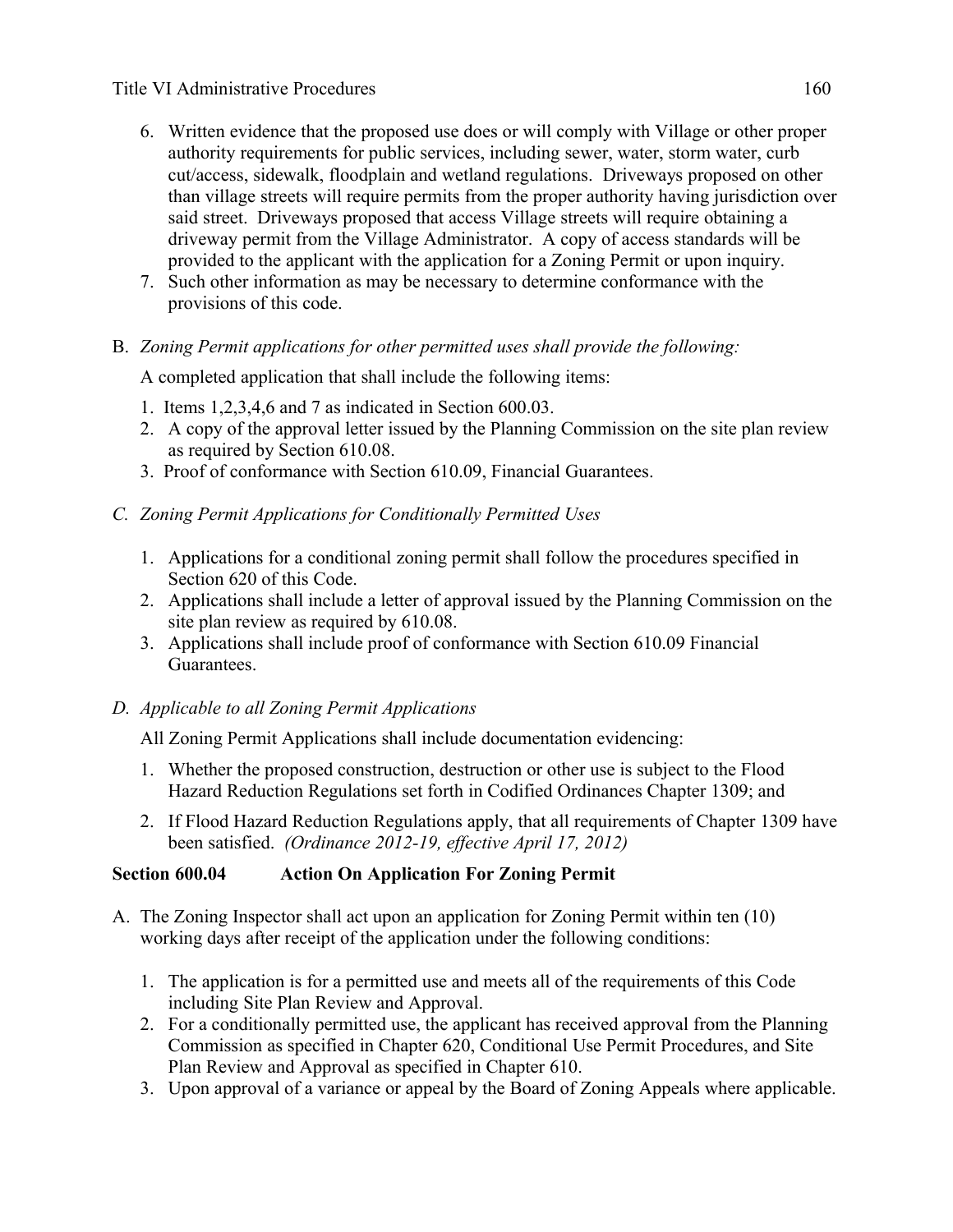#### Title VI Administrative Procedures 160

- 6. Written evidence that the proposed use does or will comply with Village or other proper authority requirements for public services, including sewer, water, storm water, curb cut/access, sidewalk, floodplain and wetland regulations. Driveways proposed on other than village streets will require permits from the proper authority having jurisdiction over said street. Driveways proposed that access Village streets will require obtaining a driveway permit from the Village Administrator. A copy of access standards will be provided to the applicant with the application for a Zoning Permit or upon inquiry.
- 7. Such other information as may be necessary to determine conformance with the provisions of this code.

# B. *Zoning Permit applications for other permitted uses shall provide the following:*

A completed application that shall include the following items:

- 1. Items 1,2,3,4,6 and 7 as indicated in Section 600.03.
- 2. A copy of the approval letter issued by the Planning Commission on the site plan review as required by Section 610.08.
- 3. Proof of conformance with Section 610.09, Financial Guarantees.

# *C. Zoning Permit Applications for Conditionally Permitted Uses*

- 1. Applications for a conditional zoning permit shall follow the procedures specified in Section 620 of this Code.
- 2. Applications shall include a letter of approval issued by the Planning Commission on the site plan review as required by 610.08.
- 3. Applications shall include proof of conformance with Section 610.09 Financial Guarantees.

### *D. Applicable to all Zoning Permit Applications*

All Zoning Permit Applications shall include documentation evidencing:

- 1. Whether the proposed construction, destruction or other use is subject to the Flood Hazard Reduction Regulations set forth in Codified Ordinances Chapter 1309; and
- 2. If Flood Hazard Reduction Regulations apply, that all requirements of Chapter 1309 have been satisfied. *(Ordinance 2012-19, effective April 17, 2012)*

# **Section 600.04 Action On Application For Zoning Permit**

- A. The Zoning Inspector shall act upon an application for Zoning Permit within ten (10) working days after receipt of the application under the following conditions:
	- 1. The application is for a permitted use and meets all of the requirements of this Code including Site Plan Review and Approval.
	- 2. For a conditionally permitted use, the applicant has received approval from the Planning Commission as specified in Chapter 620, Conditional Use Permit Procedures, and Site Plan Review and Approval as specified in Chapter 610.
	- 3. Upon approval of a variance or appeal by the Board of Zoning Appeals where applicable.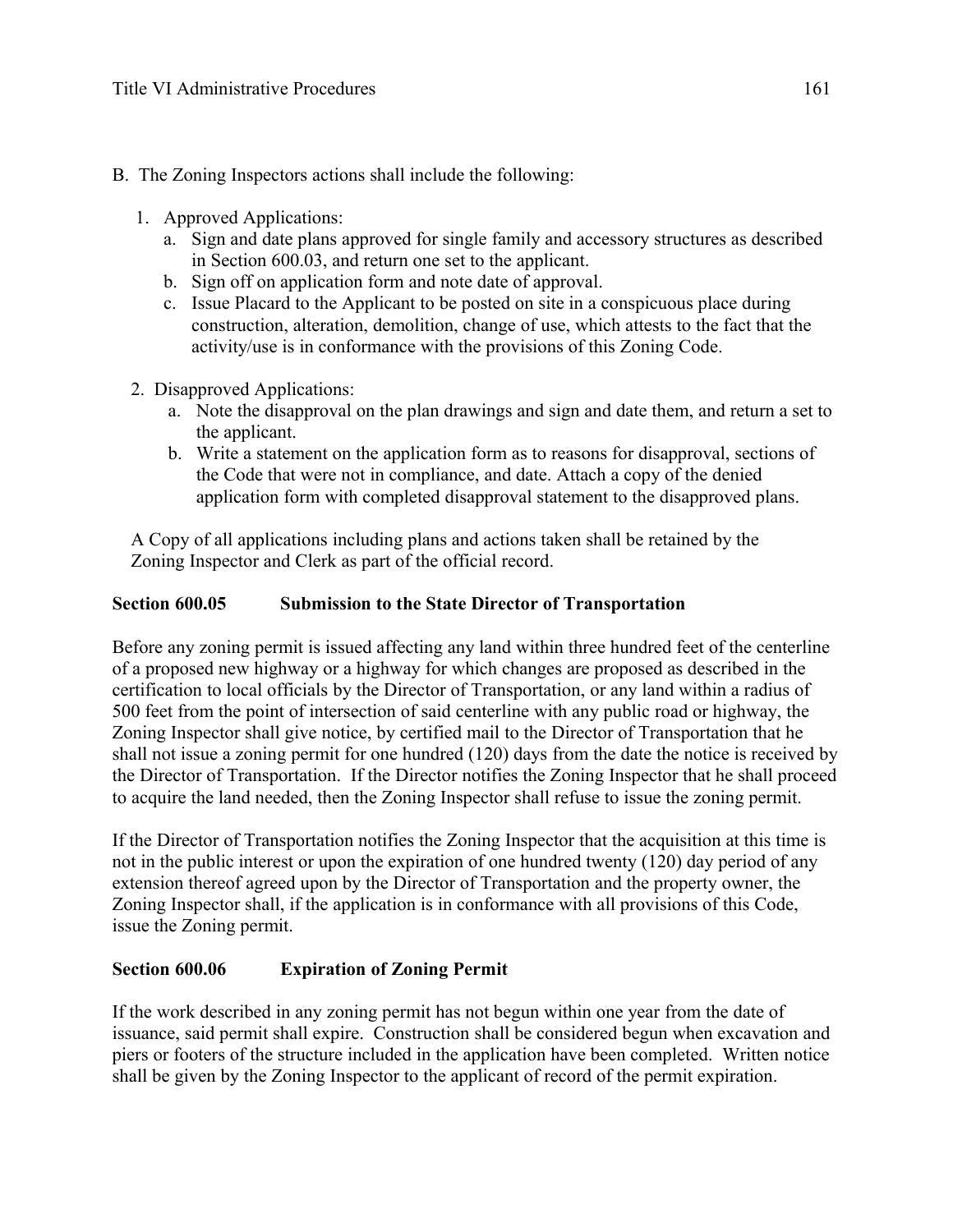- B. The Zoning Inspectors actions shall include the following:
	- 1. Approved Applications:
		- a. Sign and date plans approved for single family and accessory structures as described in Section 600.03, and return one set to the applicant.
		- b. Sign off on application form and note date of approval.
		- c. Issue Placard to the Applicant to be posted on site in a conspicuous place during construction, alteration, demolition, change of use, which attests to the fact that the activity/use is in conformance with the provisions of this Zoning Code.
	- 2. Disapproved Applications:
		- a. Note the disapproval on the plan drawings and sign and date them, and return a set to the applicant.
		- b. Write a statement on the application form as to reasons for disapproval, sections of the Code that were not in compliance, and date. Attach a copy of the denied application form with completed disapproval statement to the disapproved plans.

 A Copy of all applications including plans and actions taken shall be retained by the Zoning Inspector and Clerk as part of the official record.

### **Section 600.05 Submission to the State Director of Transportation**

Before any zoning permit is issued affecting any land within three hundred feet of the centerline of a proposed new highway or a highway for which changes are proposed as described in the certification to local officials by the Director of Transportation, or any land within a radius of 500 feet from the point of intersection of said centerline with any public road or highway, the Zoning Inspector shall give notice, by certified mail to the Director of Transportation that he shall not issue a zoning permit for one hundred (120) days from the date the notice is received by the Director of Transportation. If the Director notifies the Zoning Inspector that he shall proceed to acquire the land needed, then the Zoning Inspector shall refuse to issue the zoning permit.

If the Director of Transportation notifies the Zoning Inspector that the acquisition at this time is not in the public interest or upon the expiration of one hundred twenty (120) day period of any extension thereof agreed upon by the Director of Transportation and the property owner, the Zoning Inspector shall, if the application is in conformance with all provisions of this Code, issue the Zoning permit.

### **Section 600.06 Expiration of Zoning Permit**

If the work described in any zoning permit has not begun within one year from the date of issuance, said permit shall expire. Construction shall be considered begun when excavation and piers or footers of the structure included in the application have been completed. Written notice shall be given by the Zoning Inspector to the applicant of record of the permit expiration.